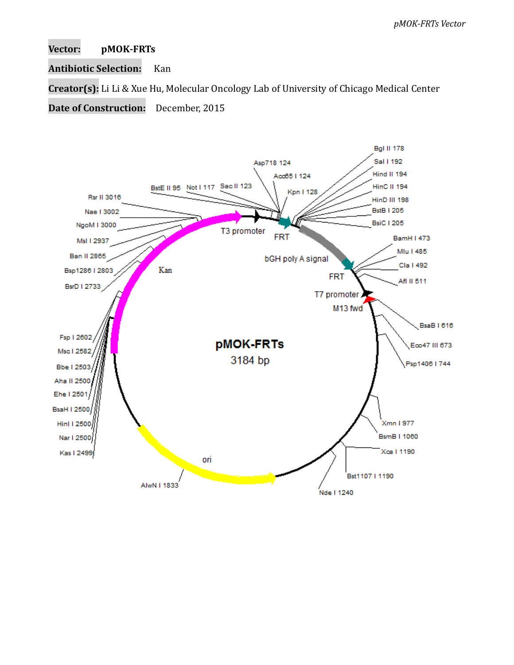*pMOK-FRTs Vector*

### **Vector: pMOK-FRTs**

## **Antibiotic Selection:** Kan

**Creator(s):** Li Li & Xue Hu, Molecular Oncology Lab of University of Chicago Medical Center

**Date of Construction:** December, 2015

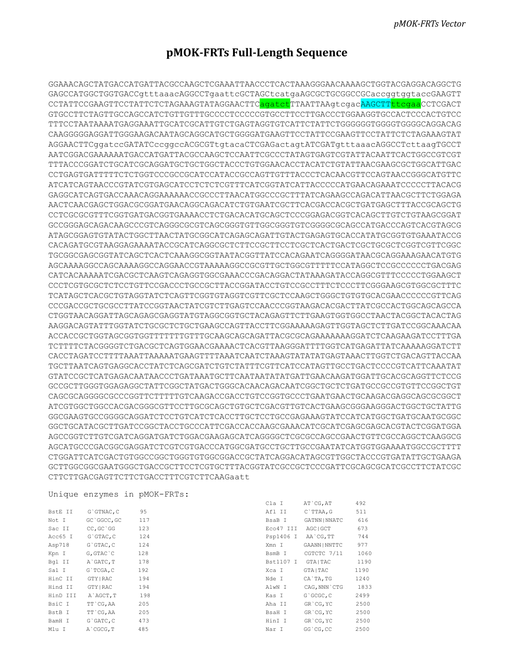# pMOK-FRTs Full-Length Sequence

GGAAACAGCTATGACCATGATTACGCCAAGCTCGAAATTAACCCTCACTAAAGGGAACAAAAGCTGGTACGAGGACAGGCTG GAGCCATGGCTGGTGACCqtttaaacAGGCCTgaattcGCTAGCtcatgaAGCGCTGCGGCCGCaccqqtqqtaccGAAGTT CCTATTCCGAAGTTCCTATTCTCTAGAAAGTATAGGAACTTCagatctTTAATTAAgtcgacAAGCTTttcgaaCCTCGACT TTTCCTAATAAAATGAGGAAATTGCATCGCATTGTCTGAGTAGGTGTCATTCTATTCTGGGGGGTGGGGTGGGCAGGACAG CAAGGGGGAGGATTGGGAAGACAATAGCAGGCATGCTGGGGATGAAGTTCCTATTCCGAAGTTCCTATTCTCTAGAAAGTAT AGGAACTTCqqatccGATATCccqqccACGCGTtqtacaCTCGAGactaqtATCGATqtttaaacAGGCCTcttaaqTGCCT AATCGGACGAAAAAATGACCATGATTACGCCAAGCTCCAATTCGCCCTATAGTGAGTCGTATTACAATTCACTGGCCGTCGT TTTACCCGGATCTGCATCGCAGGATGCTGCTGCCTACCCTGTGGAACACCTACATCTGTATTAACGAAGCGCTGGCATTGAC CCTGAGTGATTTTTCTCTGGTCCCGCCGCATCCATACCGCCAGTTGTTTACCCTCACAACGTTCCAGTAACCGGGCATGTTC ATCATCAGTAACCCGTATCGTGAGCATCCTCTCTCGTTTCATCGGTATCATTACCCCCATGAACAGAAATCCCCCTTACACG GAGGCATCAGTGACCAAACAGGAAAAAACCGCCCTTAACATGGCCCGCTTTATCAGAAGCCAGACATTAACGCTTCTGGAGA AACTCAACGAGCTGGACGCGGATGAACAGGCAGACATCTGTGAATCGCTTCACGACCACGCTGATGAGCTTTACCGCAGCTG CCTCGCGCGTTTCGGTGATGACGGTGAAAACCTCTGACACATGCAGCTCCCGGAGACGGTCACAGCTTGTCTGTAAGCGGAT GCCGGGAGCAGACAAGCCCGTCAGGGCGCGTCAGCGGGTGTTGGCGGGTGTCGGGGCGCAGCCATGACCCAGTCACGTAGCG ATAGCGGAGTGTATACTGGCTTAACTATGCGGCATCAGAGCAGATTGTACTGAGAGTGCACCATATGCGGTGTGAAATACCG TGCGGCGAGCGGTATCAGCTCACTCAAAGGCGGTAATACGGTTATCCACAGAATCAGGGGATAACGCAGGAAAGAACATGTG AGCAAAAGGCCAGCAAAAGGCCAGGAACCGTAAAAAGGCCGCGTTGCTGGCGTTTTTCCATAGGCTCCGCCCCCTGACGAG CATCACAAAAATCGACGCTCAAGTCAGAGGTGGCGAAACCCGACAGGACTATAAAGATACCAGGCGTTTCCCCCTGGAAGCT CCCTCGTGCGCTCTCCTGTTCCGACCCTGCCGCTTACCGGATACCTGTCCGCCTTTCTCCCTTCGGGAAGCGTGGCGCTTTC TCATAGCTCACGCTGTAGGTATCTCAGTTCGGTGTAGGTCGTTCGCTCCAAGCTGGGCTGTGTGCACGAACCCCCCCTTCAG CCCGACCGCTGCGCCTTATCCGGTAACTATCGTCTTGAGTCCAACCCGGTAAGACACGACTTATCGCCACTGGCAGCAGCCA CTGGTAACAGGATTAGCAGAGCGAGGTATGTAGGCGGTGCTACAGAGTTCTTGAAGTGGTGGCCTAACTACGGCTACACTAG AAGGACAGTATTTGGTATCTGCGCTCTGCTGAAGCCAGTTACCTTCGGAAAAAGAGTTGGTAGCTCTTGATCCGGCAAACAA ACCACCGCTGGTAGCGGTGGTTTTTTTGTTTGCAAGCAGCAGATTACGCGCAGAAAAAAAGGATCTCAAGAAGATCCTTTGA TCTTTTCTACGGGGTCTGACGCTCAGTGGAACGAAAACTCACGTTAAGGGATTTTGGTCATGAGATTATCAAAAAGGATCTT TGCTTAATCAGTGAGGCACCTATCTCAGCGATCTGTCTATTTCGTTCATCCATAGTTGCCTGACTCCCCGTCATTCAAATAT GTATCCGCTCATGAGACAATAACCCTGATAAATGCTTCAATAATATATGATGAACAAGATGGATTGCACGCAGGTTCTCCG GCCGCTTGGGTGGAGAGGCTATTCGGCTATGACTGGGCACAACAGACAATCGGCTGCTCTGATGCCGCCGTGTTCCGGCTGT ATCGTGGCTGGCCACGACGGGCGTTCCTTGCGCAGCTGTGCTCGACGTTGTCACTGAAGCGGAAGGGACTGGCTGCTATTG GGCGAAGTGCCGGGGCAGGATCTCCTGTCATCTCACCTTGCTCCTGCCGAGAAAGTATCCATCATGGCTGATGCAATGCGGC AGCCGGTCTTGTCGATCAGGATGATCTGGACGAAGAGCATCAGGGGCTCGCGCCAGCCGAACTGTTCGCCAGGCTCAAGGCG AGCATGCCCGACGGCGAGGATCTCGTCGTGACCCATGGCGATGCCTGCTTGCCGAATATCATGGTGGAAAATGGCCGCTTTT CTGGATTCATCGACTGTGGCCGGCTGGGTGTGGCGGACCGCTATCAGGACATAGCGTTGGCTACCCGTGATATTGCTGAAGA GCTTGGCGGCGAATGGGCTGACCGCTTCCTCGTGCTTTACGGTATCGCCGCTCCCGATTCGCAGCGCATCGCCTTCTATCGC CTTCTTGACGAGTTCTTCTGACCTTTCGTCTTCAAGaatt

#### Unique enzymes in pMOK-FRTs:

|          |               |     | Cla I     | AT CG, AT     | 492  |
|----------|---------------|-----|-----------|---------------|------|
| BstE II  | G`GTNAC, C    | 95  | Afl II    | C`TTAA, G     | 511  |
| Not I    | GC `GGCC, GC  | 117 | BsaB I    | GATNN   NNATC | 616  |
| Sac II   | $CC, GC$ $GG$ | 123 | Eco47 III | AGC   GCT     | 673  |
| Acc65 I  | G`GTAC, C     | 124 | Psp1406 I | AA`CG, TT     | 744  |
| Asp718   | G`GTAC, C     | 124 | Xmn I     | GAANN   NNTTC | 977  |
| Kpn I    | G, GTAC C     | 128 | BsmB I    | CGTCTC 7/11   | 1060 |
| Bgl II   | A GATC, T     | 178 | Bst1107 I | GTA   TAC     | 1190 |
| Sal I    | G`TCGA, C     | 192 | Xca I     | GTA   TAC     | 1190 |
| HinC II  | GTY   RAC     | 194 | Nde I     | CA`TA, TG     | 1240 |
| Hind II  | GTY   RAC     | 194 | AlwN I    | CAG, NNN CTG  | 1833 |
| HinD III | A`AGCT, T     | 198 | Kas I     | G`GCGC, C     | 2499 |
| BsiC I   | TT CG, AA     | 205 | Aha II    | GR CG, YC     | 2500 |
| BstB I   | TT CG. AA     | 205 | BsaH I    | GR CG, YC     | 2500 |
| BamH I   | G`GATC, C     | 473 | HinI I    | GR CG, YC     | 2500 |
| M111T    | A CGCG.T      | 485 | Nar T     | GG`CG.CC      | 2500 |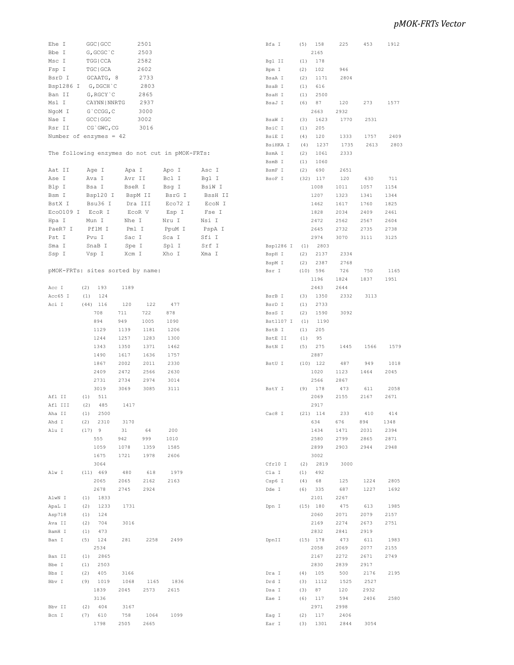### pMOK-FRTs Vector

| Ehe I     | GGC   GCC                                      |         | 2501 |         |         | Bfa I     | (5)<br>158  | 225  | 453  | 1912 |
|-----------|------------------------------------------------|---------|------|---------|---------|-----------|-------------|------|------|------|
| Bbe I     | G, GCGC `C                                     |         | 2503 |         |         |           | 2165        |      |      |      |
| Msc I     | TGG   CCA                                      |         | 2582 |         |         | Bgl II    | 178<br>(1)  |      |      |      |
| Fsp I     | TGC   GCA                                      |         | 2602 |         |         | Bpm I     | 102<br>(2)  | 946  |      |      |
| BsrD I    | GCAATG, 8                                      |         | 2733 |         |         | BsaA I    | 1171<br>(2) | 2804 |      |      |
| Bsp1286 I | G, DGCH C                                      |         | 2803 |         |         | BsaB I    | 616<br>(1)  |      |      |      |
| Ban II    | G, RGCY `C                                     |         | 2865 |         |         | BsaH I    | 2500<br>(1) |      |      |      |
| Msl I     | CAYNN   NNRTG                                  |         | 2937 |         |         | BsaJ I    | (6)<br>87   | 120  | 273  | 1577 |
| NgoM I    | G`CCGG, C                                      |         | 3000 |         |         |           | 2663        | 2932 |      |      |
| Nae I     | GCC   GGC                                      |         | 3002 |         |         | BsaW I    | (3)<br>1623 | 1770 | 2531 |      |
| Rsr II    | CG`GWC, CG                                     |         | 3016 |         |         | BsiC I    | 205<br>(1)  |      |      |      |
|           | Number of enzymes = $42$                       |         |      |         |         | BsiE I    | 120<br>(4)  | 1333 | 1757 | 2409 |
|           |                                                |         |      |         |         | BsiHKA I  | 1237<br>(4) | 1735 | 2613 | 2803 |
|           | The following enzymes do not cut in pMOK-FRTs: |         |      |         |         | BsmA I    | 1061<br>(2) | 2333 |      |      |
|           |                                                |         |      |         |         | BsmB I    | 1060<br>(1) |      |      |      |
| Aat II    | Age I                                          | Apa I   |      | Apo I   | Asc I   | BsmF I    | 690<br>(2)  | 2651 |      |      |
| Ase I     | Ava I                                          | Avr II  |      | Bcl I   | Bgl I   | BsoF I    | $(32)$ 117  | 120  | 630  | 711  |
| Blp I     | Bsa I                                          | BseR I  |      | Bsg I   | BsiW I  |           | 1008        | 1011 | 1057 | 1154 |
| Bsm I     | Bsp120 I                                       | BspM II |      | BsrG I  | BssH II |           | 1207        | 1323 | 1341 | 1344 |
| BstX I    | Bsu36 I                                        | Dra III |      | Eco72 I | ECON I  |           | 1462        | 1617 | 1760 | 1825 |
| Eco0109 I | ECOR I                                         | ECOR V  |      | Esp I   | Fse I   |           | 1828        | 2034 | 2409 | 2461 |
| Hpa I     | Mun I                                          | Nhe I   |      | Nru I   | Nsi I   |           | 2472        | 2562 | 2567 | 2604 |
| PaeR7 I   | PflM I                                         | Pml I   |      | PpuM I  | PspA I  |           | 2645        | 2732 | 2735 | 2738 |
| Pst I     | Pvu I                                          | Sac I   |      | Sca I   | Sfi I   |           | 2974        | 3070 | 3111 | 3125 |
| Sma I     | SnaB I                                         | Spe I   |      | Spl I   | Srf I   | Bsp1286 I | 2803<br>(1) |      |      |      |
| Ssp I     | Vsp I                                          | Xcm I   |      | Xho I   | Xma I   | BspH I    | (2)<br>2137 | 2334 |      |      |
|           |                                                |         |      |         |         | BspM I    | 2387<br>(2) | 2768 |      |      |
|           | pMOK-FRTs: sites sorted by name:               |         |      |         |         | Bsr I     | $(10)$ 596  | 726  | 750  | 1165 |
|           |                                                |         |      |         |         |           | 1196        | 1824 | 1837 | 1951 |
| Acc I     | 193<br>(2)                                     | 1189    |      |         |         |           | 2443        | 2644 |      |      |
| Acc65 I   | (1)<br>124                                     |         |      |         |         | BsrB I    | (3)<br>1350 | 2332 | 3113 |      |
| Aci I     | $(44)$ 116                                     | 120     | 122  | 477     |         | BsrD I    | 2733        |      |      |      |
|           | 708                                            |         |      |         |         |           | (1)<br>1590 | 3092 |      |      |
|           |                                                | 711     | 722  | 878     |         | BssS I    | (2)         |      |      |      |
|           | 894                                            | 949     | 1005 | 1090    |         | Bst1107 I | 1190<br>(1) |      |      |      |
|           | 1129                                           | 1139    | 1181 | 1206    |         | BstB I    | 205<br>(1)  |      |      |      |
|           | 1244                                           | 1257    | 1283 | 1300    |         | BstE II   | 95<br>(1)   |      |      |      |
|           | 1343                                           | 1350    | 1371 | 1462    |         | BstN I    | (5)<br>275  | 1445 | 1566 | 1579 |
|           | 1490                                           | 1617    | 1636 | 1757    |         |           | 2887        |      |      |      |
|           | 1867                                           | 2002    | 2011 | 2330    |         | BstU I    | $(10)$ 122  | 487  | 949  | 1018 |
|           | 2409                                           | 2472    | 2566 | 2630    |         |           | 1020        | 1123 | 1464 | 2045 |
|           | 2731                                           | 2734    | 2974 | 3014    |         |           | 2566        | 2867 |      |      |
|           | 3019                                           | 3069    | 3085 | 3111    |         | BstY I    | 178<br>(9)  | 473  | 611  | 2058 |
| Afl II    | (1)<br>511                                     |         |      |         |         |           | 2069        | 2155 | 2167 | 2671 |
| Afl III   | (2)<br>485                                     | 1417    |      |         |         |           | 2917        |      |      |      |
| Aha II    | 2500<br>(1)                                    |         |      |         |         | Cac8 I    | $(21)$ 114  | 233  | 410  | 414  |
| Ahd I     | 2310<br>(2)                                    | 3170    |      |         |         |           | 634         | 676  | 894  | 1348 |
| Alu I     | (17) 9                                         | 31      | 64   | 200     |         |           | 1434        | 1471 | 2031 | 2394 |
|           | 555                                            | 942     | 999  | 1010    |         |           | 2580        | 2799 | 2865 | 2871 |
|           | 1059                                           | 1078    | 1359 | 1585    |         |           | 2899        | 2903 | 2944 | 2948 |
|           | 1675                                           | 1721    | 1978 | 2606    |         |           | 3002        |      |      |      |
|           | 3064                                           |         |      |         |         | Cfr10 I   | 2819<br>(2) | 3000 |      |      |
| Alw I     | (11) 469                                       | 480     | 618  | 1979    |         | Cla I     | (1)<br>492  |      |      |      |
|           | 2065                                           | 2065    | 2162 | 2163    |         | Csp6 I    | (4)<br>68   | 125  | 1224 | 2805 |
|           | 2678                                           | 2745    | 2924 |         |         | Dde I     | 335<br>(6)  | 687  | 1227 | 1692 |
| AlwN I    | (1)<br>1833                                    |         |      |         |         |           | 2101        | 2267 |      |      |
| ApaL I    | 1233<br>(2)                                    | 1731    |      |         |         | Dpn I     | (15) 180    | 475  | 613  | 1985 |
| Asp718    | 124<br>(1)                                     |         |      |         |         |           | 2060        | 2071 | 2079 | 2157 |
| Ava II    | (2)<br>704                                     | 3016    |      |         |         |           | 2169        | 2274 | 2673 | 2751 |
| BamH I    | (1)<br>473                                     |         |      |         |         |           | 2832        | 2841 | 2919 |      |
| Ban I     | (5)<br>124                                     | 281     | 2258 | 2499    |         | DpnII     | $(15)$ 178  | 473  | 611  | 1983 |
|           | 2534                                           |         |      |         |         |           | 2058        | 2069 | 2077 | 2155 |
| Ban II    | 2865<br>(1)                                    |         |      |         |         |           | 2167        | 2272 | 2671 | 2749 |
| Bbe I     | 2503<br>(1)                                    |         |      |         |         |           | 2830        | 2839 | 2917 |      |
| Bbs I     | (2)<br>405                                     | 3166    |      |         |         | Dra I     | 105<br>(4)  | 500  | 2176 | 2195 |
| Bbv I     | (9)<br>1019                                    | 1068    | 1165 | 1836    |         | Drd I     | 1112<br>(3) | 1525 | 2527 |      |
|           |                                                |         |      |         |         |           |             |      |      |      |
|           | 1839                                           | 2045    | 2573 | 2615    |         | Dsa I     | 87<br>(3)   | 120  | 2932 |      |
|           | 3136                                           |         |      |         |         | Eae I     | (6)<br>117  | 594  | 2406 | 2580 |
| Bbv II    | (2)<br>404                                     | 3167    |      |         |         |           | 2971        | 2998 |      |      |
| Bcn I     | (7)<br>610                                     | 758     | 1064 | 1099    |         | Eag I     | 117<br>(2)  | 2406 |      |      |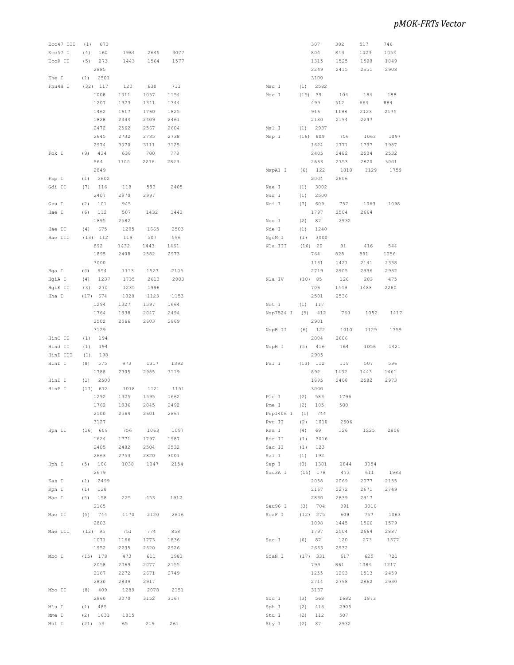| Eco47 III      | (1)<br>673          |            |      |      |                |            | 307        | 382         | 517  | 746  |
|----------------|---------------------|------------|------|------|----------------|------------|------------|-------------|------|------|
| Eco57 I        | (4)<br>160          | 1964       | 2645 | 3077 |                |            | 804        | 843         | 1023 | 1053 |
| ECOR II        | 273<br>(5)          | 1443       | 1564 | 1577 |                |            | 1315       | 1525        | 1598 | 1849 |
|                |                     |            |      |      |                |            |            |             |      |      |
|                | 2885                |            |      |      |                |            | 2249       | 2415        | 2551 | 2908 |
| Ehe I          | 2501<br>(1)         |            |      |      |                |            | 3100       |             |      |      |
| Fnu4H I        | (32) 117            | 120        | 630  | 711  | Msc I          |            | $(1)$ 2582 |             |      |      |
|                | 1008                | 1011       | 1057 | 1154 | Mse I          |            | (15) 39    | 104         | 184  | 188  |
|                | 1207                | 1323       | 1341 | 1344 |                |            | 499        | 512         | 664  | 884  |
|                |                     |            |      |      |                |            |            |             |      |      |
|                | 1462                | 1617       | 1760 | 1825 |                |            | 916        | 1198        | 2123 | 2175 |
|                | 1828                | 2034       | 2409 | 2461 |                |            | 2180       | 2194        | 2247 |      |
|                | 2472                | 2562       | 2567 | 2604 | Msl I          | (1)        | 2937       |             |      |      |
|                | 2645                | 2732       | 2735 | 2738 | Msp I          |            | (16) 609   | 756         | 1063 | 1097 |
|                | 2974                | 3070       | 3111 | 3125 |                |            | 1624       | 1771        | 1797 | 1987 |
| Fok I          | $(9)$ 434           | 638        | 700  | 778  |                |            | 2405       | 2482        | 2504 | 2532 |
|                |                     |            |      |      |                |            |            |             |      |      |
|                | 964                 | 1105       | 2276 | 2824 |                |            | 2663       | 2753        | 2820 | 3001 |
|                | 2849                |            |      |      | MspA1 I        |            | $(6)$ 122  | 1010        | 1129 | 1759 |
| Fsp I          | 2602<br>(1)         |            |      |      |                |            | 2004       | 2606        |      |      |
| Gdi II         | 116<br>(7)          | 118        | 593  | 2405 | Nae I          | (1)        | 3002       |             |      |      |
|                | 2407                | 2970       | 2997 |      | Nar I          | (1)        | 2500       |             |      |      |
|                |                     |            |      |      |                |            |            |             |      |      |
| Gsu I          | 101<br>(2)          | 945        |      |      | Nci I          | (7)        | 609        | 757         | 1063 | 1098 |
| Hae I          | 112<br>(6)          | 507        | 1432 | 1443 |                |            | 1797       | 2504        | 2664 |      |
|                | 1895                | 2582       |      |      | Nco I          | (2)        | 87         | 2932        |      |      |
| Hae II         | (4)<br>675          | 1295       | 1665 | 2503 | Nde I          | (1)        | 1240       |             |      |      |
| Hae III        | (13) 112            | 119        | 507  | 596  | NgoM I         | (1)        | 3000       |             |      |      |
|                | 892                 |            |      |      |                |            |            |             |      | 544  |
|                |                     | 1432       | 1443 | 1461 | Nla III        |            | (16) 20    | 91          | 416  |      |
|                | 1895                | 2408       | 2582 | 2973 |                |            | 764        | 828         | 891  | 1056 |
|                | 3000                |            |      |      |                |            | 1161       | 1421        | 2141 | 2338 |
| Hga I          | 954<br>(4)          | 1113       | 1527 | 2105 |                |            | 2719       | 2905        | 2936 | 2962 |
| HgiA I         | (4)<br>1237         | 1735       | 2613 | 2803 | Nla IV         |            | $(10)$ 85  | 126         | 283  | 475  |
| HgiE II        | 270<br>(3)          | 1235       | 1996 |      |                |            | 706        | 1449        | 1488 | 2260 |
|                |                     |            |      |      |                |            |            |             |      |      |
| Hha I          | (17) 674            | 1020       | 1123 | 1153 |                |            | 2501       | 2536        |      |      |
|                | 1294                | 1327       | 1597 | 1664 | Not I          | (1)        | 117        |             |      |      |
|                | 1764                | 1938       | 2047 | 2494 | Nsp7524 I      |            | $(5)$ 412  | 760         | 1052 | 1417 |
|                | 2502                | 2566       | 2603 | 2869 |                |            | 2901       |             |      |      |
|                | 3129                |            |      |      | NspB II        |            | $(6)$ 122  | 1010        | 1129 | 1759 |
| HinC II        | 194<br>(1)          |            |      |      |                |            | 2004       | 2606        |      |      |
|                |                     |            |      |      |                |            |            |             |      |      |
| Hind II        | (1)<br>194          |            |      |      | NspH I         |            | $(5)$ 416  | 764         | 1056 | 1421 |
| HinD III       | (1)<br>198          |            |      |      |                |            | 2905       |             |      |      |
| Hinf I         | (8)<br>575          | 973        | 1317 | 1392 | Pal I          |            | $(13)$ 112 | 119         | 507  | 596  |
|                | 1788                | 2305       | 2985 | 3119 |                |            | 892        | 1432        | 1443 | 1461 |
| HinI I         | (1)<br>2500         |            |      |      |                |            | 1895       | 2408        | 2582 | 2973 |
| HinP I         | (17) 672            | 1018       | 1121 | 1151 |                |            | 3000       |             |      |      |
|                |                     |            |      |      |                |            |            |             |      |      |
|                | 1292                | 1325       | 1595 | 1662 | Ple I          | (2)        | 583        | 1796        |      |      |
|                | 1762                | 1936       | 2045 | 2492 | Pme I          | (2)        | 105        | 500         |      |      |
|                | 2500                | 2564       | 2601 | 2867 | Psp1406 I      | (1)        | 744        |             |      |      |
|                | 3127                |            |      |      | Pvu II         | (2)        | 1010       | 2606        |      |      |
| Hpa II         | (16) 609            | 756        | 1063 | 1097 | Rsa I          | (4)        | 69         | 126         | 1225 | 2806 |
|                | 1624                | 1771       | 1797 | 1987 | Rsr II         | (1)        | 3016       |             |      |      |
|                |                     |            |      |      |                |            |            |             |      |      |
|                | 2405                | 2482       | 2504 | 2532 | Sac II         | (1)        | 123        |             |      |      |
|                | 2663                | 2753       | 2820 | 3001 | Sal I          | (1)        | 192        |             |      |      |
| Hph I          | (5) 106             | 1038       | 1047 | 2154 | Sap I          | (3)        | 1301       | 2844        | 3054 |      |
|                | 2679                |            |      |      | Sau3A I        |            | $(15)$ 178 | 473         | 611  | 1983 |
| Kas I          | $(1)$ 2499          |            |      |      |                |            | 2058       | 2069        | 2077 | 2155 |
|                |                     |            |      |      |                |            |            |             |      |      |
| Kpn I          | $(1)$ 128           |            |      |      |                |            | 2167       | 2272        | 2671 | 2749 |
| Mae I          | $(5)$ 158           | 225        | 453  | 1912 |                |            | 2830       | 2839        | 2917 |      |
|                | 2165                |            |      |      | Sau96 I        |            | (3) 704    | 891         | 3016 |      |
| Mae II         | $(5)$ 744           | 1170       | 2120 | 2616 | ScrF I         |            | $(12)$ 275 | 609         | 757  | 1063 |
|                | 2803                |            |      |      |                |            | 1098       | 1445        | 1566 | 1579 |
| Mae III        | $(12)$ 95           | 751        | 774  | 858  |                |            | 1797       | 2504        | 2664 | 2887 |
|                |                     |            |      |      |                |            |            |             |      |      |
|                | 1071                | 1166       | 1773 | 1836 | Sec I          |            | $(6)$ 87   | 120         | 273  | 1577 |
|                | 1952                | 2235       | 2620 | 2926 |                |            | 2663       | 2932        |      |      |
| Mbo I          | $(15)$ 178          | 473        | 611  | 1983 | SfaN I         |            | (17) 331   | 617         | 625  | 721  |
|                | 2058                | 2069       | 2077 | 2155 |                |            | 799        | 861         | 1084 | 1217 |
|                |                     |            |      | 2749 |                |            |            | 1293        | 1513 |      |
|                | 2167                | 2272       | 2671 |      |                |            | 1255       |             |      | 2459 |
|                | 2830                | 2839       | 2917 |      |                |            | 2714       | 2798        | 2862 | 2930 |
| Mbo II         | $(8)$ 409           | 1289       | 2078 | 2151 |                |            | 3137       |             |      |      |
|                | 2860                | 3070       | 3152 | 3167 | Sfc I          | (3)        | 568        | 1682        | 1873 |      |
| Mlu I          |                     |            |      |      | Sph I          | (2)        | 416        | 2905        |      |      |
|                |                     |            |      |      |                |            |            |             |      |      |
|                | $(1)$ 485           |            |      |      |                |            |            |             |      |      |
| Mme I<br>Mnl I | (2) 1631<br>(21) 53 | 1815<br>65 | 219  | 261  | Stu I<br>Sty I | (2)<br>(2) | 112<br>87  | 507<br>2932 |      |      |